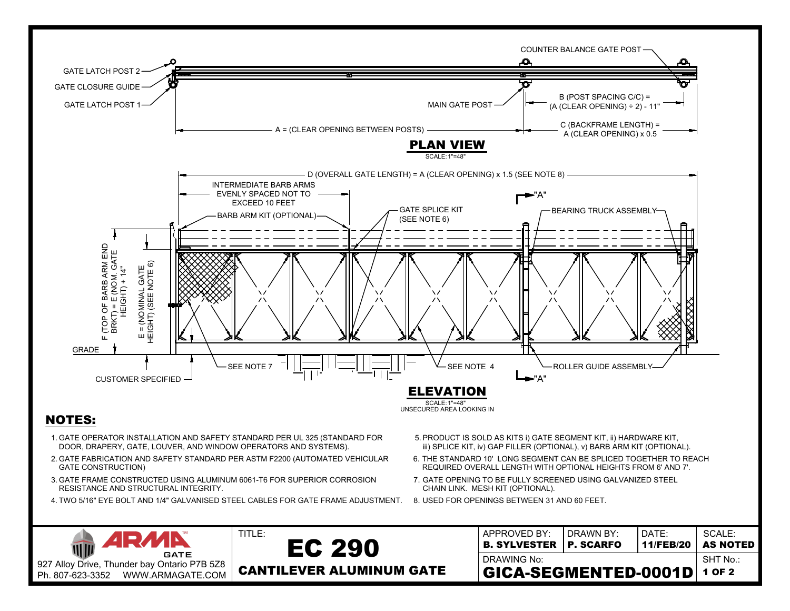

- 
- 
- 
-